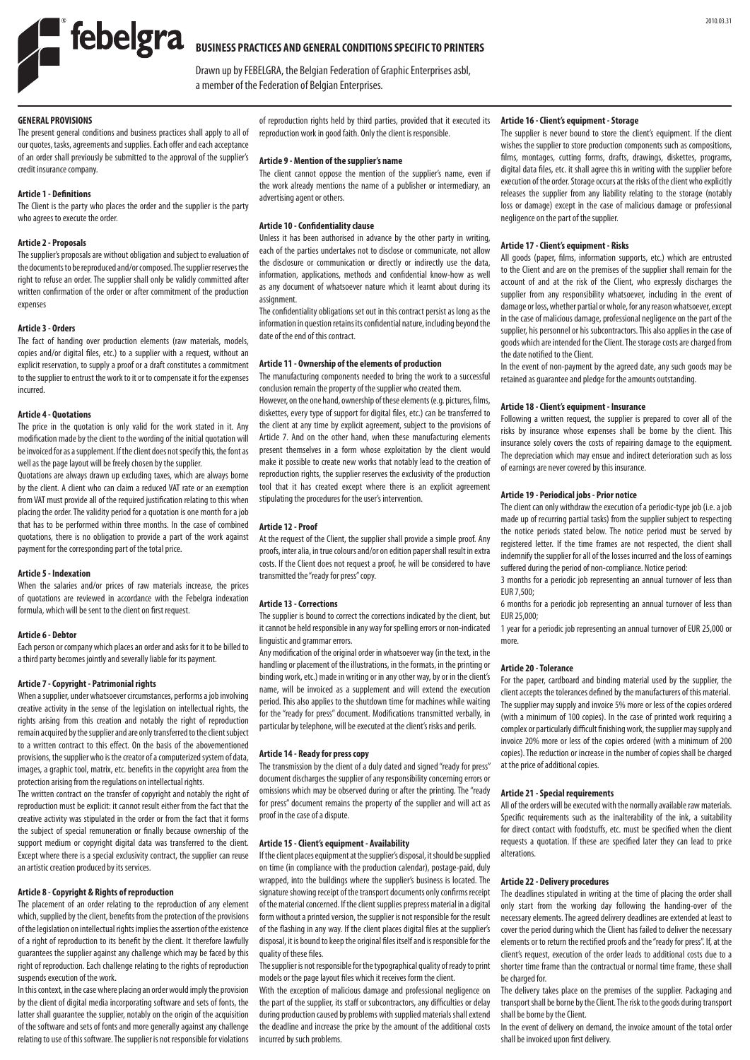

# **BUSINESS PRACTICES AND GENERAL CONDITIONS SPECIFIC TO PRINTERS**

Drawn up by FEBELGRA, the Belgian Federation of Graphic Enterprises asbl, a member of the Federation of Belgian Enterprises.

# **GENERAL PROVISIONS**

The present general conditions and business practices shall apply to all of our quotes, tasks, agreements and supplies. Each offer and each acceptance of an order shall previously be submitted to the approval of the supplier's credit insurance company.

## **Article 1 - Definitions**

The Client is the party who places the order and the supplier is the party who agrees to execute the order.

# **Article 2 - Proposals**

The supplier's proposals are without obligation and subject to evaluation of the documents to be reproduced and/or composed. The supplier reserves the right to refuse an order. The supplier shall only be validly committed after written confirmation of the order or after commitment of the production expenses

## **Article 3 - Orders**

The fact of handing over production elements (raw materials, models, copies and/or digital files, etc.) to a supplier with a request, without an explicit reservation, to supply a proof or a draft constitutes a commitment to the supplier to entrust the work to it or to compensate it for the expenses incurred.

#### **Article 4 - Quotations**

The price in the quotation is only valid for the work stated in it. Any modification made by the client to the wording of the initial quotation will be invoiced for as a supplement. If the client does not specify this, the font as well as the page layout will be freely chosen by the supplier.

Quotations are always drawn up excluding taxes, which are always borne by the client. A client who can claim a reduced VAT rate or an exemption from VAT must provide all of the required justification relating to this when placing the order. The validity period for a quotation is one month for a job that has to be performed within three months. In the case of combined quotations, there is no obligation to provide a part of the work against payment for the corresponding part of the total price.

#### **Article 5 - Indexation**

When the salaries and/or prices of raw materials increase, the prices of quotations are reviewed in accordance with the Febelgra indexation formula, which will be sent to the client on first request.

## **Article 6 - Debtor**

Each person or company which places an order and asks for it to be billed to a third party becomes jointly and severally liable for its payment.

## **Article 7 - Copyright - Patrimonial rights**

When a supplier, under whatsoever circumstances, performs a job involving creative activity in the sense of the legislation on intellectual rights, the rights arising from this creation and notably the right of reproduction remain acquired by the supplier and are only transferred to the client subject to a written contract to this effect. On the basis of the abovementioned provisions, the supplier who is the creator of a computerized system of data, images, a graphic tool, matrix, etc. benefits in the copyright area from the protection arising from the regulations on intellectual rights.

The written contract on the transfer of copyright and notably the right of reproduction must be explicit: it cannot result either from the fact that the creative activity was stipulated in the order or from the fact that it forms the subject of special remuneration or finally because ownership of the support medium or copyright digital data was transferred to the client. Except where there is a special exclusivity contract, the supplier can reuse an artistic creation produced by its services.

# **Article 8 - Copyright & Rights of reproduction**

The placement of an order relating to the reproduction of any element which, supplied by the client, benefits from the protection of the provisions of the legislation on intellectual rights implies the assertion of the existence of a right of reproduction to its benefit by the client. It therefore lawfully guarantees the supplier against any challenge which may be faced by this right of reproduction. Each challenge relating to the rights of reproduction suspends execution of the work.

In this context, in the case where placing an order would imply the provision by the client of digital media incorporating software and sets of fonts, the latter shall guarantee the supplier, notably on the origin of the acquisition of the software and sets of fonts and more generally against any challenge relating to use of this software. The supplier is not responsible for violations

of reproduction rights held by third parties, provided that it executed its reproduction work in good faith. Only the client is responsible.

#### **Article 9 - Mention of the supplier's name**

The client cannot oppose the mention of the supplier's name, even if the work already mentions the name of a publisher or intermediary, an advertising agent or others.

# **Article 10 - Confidentiality clause**

Unless it has been authorised in advance by the other party in writing, each of the parties undertakes not to disclose or communicate, not allow the disclosure or communication or directly or indirectly use the data, information, applications, methods and confidential know-how as well as any document of whatsoever nature which it learnt about during its **assignment** 

The confidentiality obligations set out in this contract persist as long as the information in question retains its confidential nature, including beyond the date of the end of this contract.

# **Article 11 - Ownership of the elements of production**

The manufacturing components needed to bring the work to a successful conclusion remain the property of the supplier who created them.

However, on the one hand, ownership of these elements (e.g. pictures, films, diskettes, every type of support for digital files, etc.) can be transferred to the client at any time by explicit agreement, subject to the provisions of Article 7. And on the other hand, when these manufacturing elements present themselves in a form whose exploitation by the client would make it possible to create new works that notably lead to the creation of reproduction rights, the supplier reserves the exclusivity of the production tool that it has created except where there is an explicit agreement stipulating the procedures for the user's intervention.

## **Article 12 - Proof**

At the request of the Client, the supplier shall provide a simple proof. Any proofs, inter alia, in true colours and/or on edition paper shall result in extra costs. If the Client does not request a proof, he will be considered to have transmitted the "ready for press" copy.

## **Article 13 - Corrections**

The supplier is bound to correct the corrections indicated by the client, but it cannot be held responsible in any way for spelling errors or non-indicated linguistic and grammar errors.

Any modification of the original order in whatsoever way (in the text, in the handling or placement of the illustrations, in the formats, in the printing or binding work, etc.) made in writing or in any other way, by or in the client's name, will be invoiced as a supplement and will extend the execution period. This also applies to the shutdown time for machines while waiting for the "ready for press" document. Modifications transmitted verbally, in particular by telephone, will be executed at the client's risks and perils.

#### **Article 14 - Ready for press copy**

The transmission by the client of a duly dated and signed "ready for press" document discharges the supplier of any responsibility concerning errors or omissions which may be observed during or after the printing. The "ready for press" document remains the property of the supplier and will act as proof in the case of a dispute.

#### **Article 15 - Client's equipment - Availability**

If the client places equipment at the supplier's disposal, it should be supplied on time (in compliance with the production calendar), postage-paid, duly wrapped, into the buildings where the supplier's business is located. The signature showing receipt of the transport documents only confirms receipt of the material concerned. If the client supplies prepress material in a digital form without a printed version, the supplier is not responsible for the result of the flashing in any way. If the client places digital files at the supplier's disposal, it is bound to keep the original files itself and is responsible for the quality of these files.

The supplier is not responsible for the typographical quality of ready to print models or the page layout files which it receives form the client.

With the exception of malicious damage and professional negligence on the part of the supplier, its staff or subcontractors, any difficulties or delay during production caused by problems with supplied materials shall extend the deadline and increase the price by the amount of the additional costs incurred by such problems.

## **Article 16 - Client's equipment - Storage**

The supplier is never bound to store the client's equipment. If the client wishes the supplier to store production components such as compositions, films, montages, cutting forms, drafts, drawings, diskettes, programs, digital data files, etc. it shall agree this in writing with the supplier before execution of the order. Storage occurs at the risks of the client who explicitly releases the supplier from any liability relating to the storage (notably loss or damage) except in the case of malicious damage or professional negligence on the part of the supplier.

#### **Article 17 - Client's equipment - Risks**

All goods (paper, films, information supports, etc.) which are entrusted to the Client and are on the premises of the supplier shall remain for the account of and at the risk of the Client, who expressly discharges the supplier from any responsibility whatsoever, including in the event of damage or loss, whether partial or whole, for any reason whatsoever, except in the case of malicious damage, professional negligence on the part of the supplier, his personnel or his subcontractors. This also applies in the case of goods which are intended for the Client. The storage costs are charged from the date notified to the Client.

In the event of non-payment by the agreed date, any such goods may be retained as guarantee and pledge for the amounts outstanding.

# **Article 18 - Client's equipment - Insurance**

Following a written request, the supplier is prepared to cover all of the risks by insurance whose expenses shall be borne by the client. This insurance solely covers the costs of repairing damage to the equipment. The depreciation which may ensue and indirect deterioration such as loss of earnings are never covered by this insurance.

## **Article 19 - Periodical jobs - Prior notice**

The client can only withdraw the execution of a periodic-type job (i.e. a job made up of recurring partial tasks) from the supplier subject to respecting the notice periods stated below. The notice period must be served by registered letter. If the time frames are not respected, the client shall indemnify the supplier for all of the losses incurred and the loss of earnings suffered during the period of non-compliance. Notice period:

3 months for a periodic job representing an annual turnover of less than EUR 7,500;

6 months for a periodic job representing an annual turnover of less than EUR 25,000;

1 year for a periodic job representing an annual turnover of EUR 25,000 or more.

# **Article 20 - Tolerance**

For the paper, cardboard and binding material used by the supplier, the client accepts the tolerances defined by the manufacturers of this material. The supplier may supply and invoice 5% more or less of the copies ordered (with a minimum of 100 copies). In the case of printed work requiring a complex or particularly difficult finishing work, the supplier may supply and invoice 20% more or less of the copies ordered (with a minimum of 200 copies). The reduction or increase in the number of copies shall be charged at the price of additional copies.

#### **Article 21 - Special requirements**

All of the orders will be executed with the normally available raw materials. Specific requirements such as the inalterability of the ink, a suitability for direct contact with foodstuffs, etc. must be specified when the client requests a quotation. If these are specified later they can lead to price alterations.

#### **Article 22 - Delivery procedures**

The deadlines stipulated in writing at the time of placing the order shall only start from the working day following the handing-over of the necessary elements. The agreed delivery deadlines are extended at least to cover the period during which the Client has failed to deliver the necessary elements or to return the rectified proofs and the "ready for press". If, at the client's request, execution of the order leads to additional costs due to a shorter time frame than the contractual or normal time frame, these shall be charged for.

The delivery takes place on the premises of the supplier. Packaging and transport shall be borne by the Client. The risk to the goods during transport shall be borne by the Client.

In the event of delivery on demand, the invoice amount of the total order shall be invoiced upon first delivery.